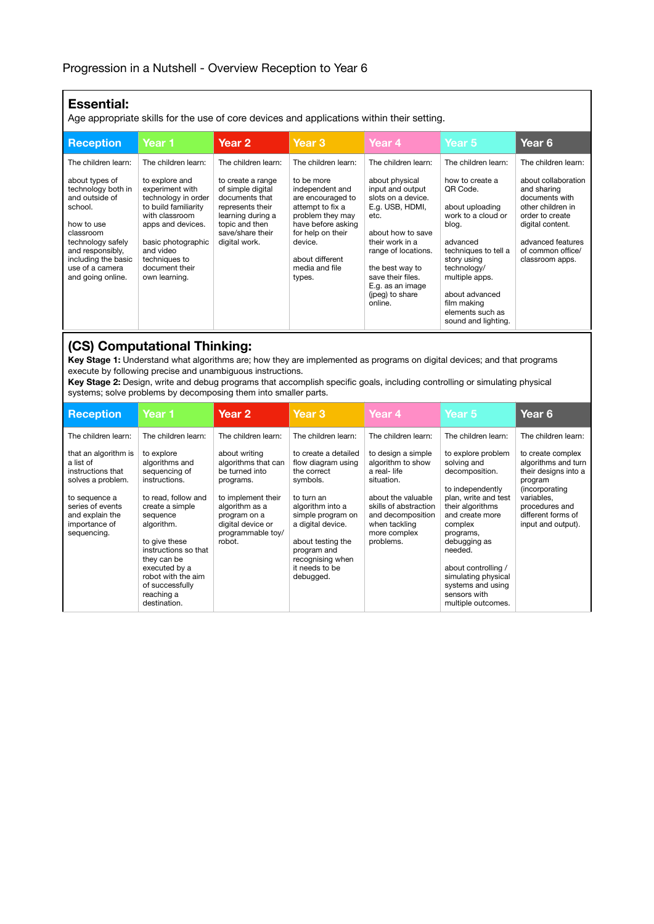## **Essential:**

Age appropriate skills for the use of core devices and applications within their setting.

| <b>Reception</b>                                                                                                                                                                                     | Year 1                                                                                                                                                                                                         | Year 2                                                                                                                                                   | Year <sub>3</sub>                                                                                                                                                                               | Year 4                                                                                                                                                                                                                                       | Year 5                                                                                                                                                                                                                                        | Year 6                                                                                                                                                                        |
|------------------------------------------------------------------------------------------------------------------------------------------------------------------------------------------------------|----------------------------------------------------------------------------------------------------------------------------------------------------------------------------------------------------------------|----------------------------------------------------------------------------------------------------------------------------------------------------------|-------------------------------------------------------------------------------------------------------------------------------------------------------------------------------------------------|----------------------------------------------------------------------------------------------------------------------------------------------------------------------------------------------------------------------------------------------|-----------------------------------------------------------------------------------------------------------------------------------------------------------------------------------------------------------------------------------------------|-------------------------------------------------------------------------------------------------------------------------------------------------------------------------------|
| The children learn:                                                                                                                                                                                  | The children learn:                                                                                                                                                                                            | The children learn:                                                                                                                                      | The children learn:                                                                                                                                                                             | The children learn:                                                                                                                                                                                                                          | The children learn:                                                                                                                                                                                                                           | The children learn:                                                                                                                                                           |
| about types of<br>technology both in<br>and outside of<br>school.<br>how to use<br>classroom<br>technology safely<br>and responsibly.<br>including the basic<br>use of a camera<br>and going online. | to explore and<br>experiment with<br>technology in order<br>to build familiarity<br>with classroom<br>apps and devices.<br>basic photographic<br>and video<br>techniques to<br>document their<br>own learning. | to create a range<br>of simple digital<br>documents that<br>represents their<br>learning during a<br>topic and then<br>save/share their<br>digital work. | to be more<br>independent and<br>are encouraged to<br>attempt to fix a<br>problem they may<br>have before asking<br>for help on their<br>device.<br>about different<br>media and file<br>types. | about physical<br>input and output<br>slots on a device.<br>E.g. USB, HDMI,<br>etc.<br>about how to save<br>their work in a<br>range of locations.<br>the best way to<br>save their files.<br>E.g. as an image<br>(ipeg) to share<br>online. | how to create a<br>QR Code.<br>about uploading<br>work to a cloud or<br>blog.<br>advanced<br>techniques to tell a<br>story using<br>technology/<br>multiple apps.<br>about advanced<br>film making<br>elements such as<br>sound and lighting. | about collaboration<br>and sharing<br>documents with<br>other children in<br>order to create<br>digital content.<br>advanced features<br>of common office/<br>classroom apps. |

## **(CS) Computational Thinking:**

**Key Stage 1:** Understand what algorithms are; how they are implemented as programs on digital devices; and that programs execute by following precise and unambiguous instructions.

**Key Stage 2:** Design, write and debug programs that accomplish specific goals, including controlling or simulating physical systems; solve problems by decomposing them into smaller parts.

| <b>Reception</b>                                                                                                                                                                           | Year 1                                                                                                                                                                                                                                                                      | Year <sub>2</sub>                                                                                                                                                                                      | Year <sub>3</sub>                                                                                                                                                                                                                                               | Year <sub>4</sub>                                                                                                                                                                                             | Year 5                                                                                                                                                                                                                                                                              | Year 6                                                                                                                                                                                            |
|--------------------------------------------------------------------------------------------------------------------------------------------------------------------------------------------|-----------------------------------------------------------------------------------------------------------------------------------------------------------------------------------------------------------------------------------------------------------------------------|--------------------------------------------------------------------------------------------------------------------------------------------------------------------------------------------------------|-----------------------------------------------------------------------------------------------------------------------------------------------------------------------------------------------------------------------------------------------------------------|---------------------------------------------------------------------------------------------------------------------------------------------------------------------------------------------------------------|-------------------------------------------------------------------------------------------------------------------------------------------------------------------------------------------------------------------------------------------------------------------------------------|---------------------------------------------------------------------------------------------------------------------------------------------------------------------------------------------------|
| The children learn:<br>that an algorithm is<br>a list of<br>instructions that<br>solves a problem.<br>to sequence a<br>series of events<br>and explain the<br>importance of<br>sequencing. | The children learn:<br>to explore<br>algorithms and<br>sequencing of<br>instructions.<br>to read, follow and<br>create a simple<br>sequence<br>algorithm.<br>to give these<br>instructions so that<br>they can be<br>executed by a<br>robot with the aim<br>of successfully | The children learn:<br>about writing<br>algorithms that can<br>be turned into<br>programs.<br>to implement their<br>algorithm as a<br>program on a<br>digital device or<br>programmable toy/<br>robot. | The children learn:<br>to create a detailed<br>flow diagram using<br>the correct<br>symbols.<br>to turn an<br>algorithm into a<br>simple program on<br>a digital device.<br>about testing the<br>program and<br>recognising when<br>it needs to be<br>debugged. | The children learn:<br>to design a simple<br>algorithm to show<br>a real-life<br>situation.<br>about the valuable<br>skills of abstraction<br>and decomposition<br>when tackling<br>more complex<br>problems. | The children learn:<br>to explore problem<br>solving and<br>decomposition.<br>to independently<br>plan, write and test<br>their algorithms<br>and create more<br>complex<br>programs,<br>debugging as<br>needed.<br>about controlling /<br>simulating physical<br>systems and using | The children learn:<br>to create complex<br>algorithms and turn<br>their designs into a<br>program<br>(incorporating)<br>variables,<br>procedures and<br>different forms of<br>input and output). |
|                                                                                                                                                                                            | reaching a<br>destination.                                                                                                                                                                                                                                                  |                                                                                                                                                                                                        |                                                                                                                                                                                                                                                                 |                                                                                                                                                                                                               | sensors with<br>multiple outcomes.                                                                                                                                                                                                                                                  |                                                                                                                                                                                                   |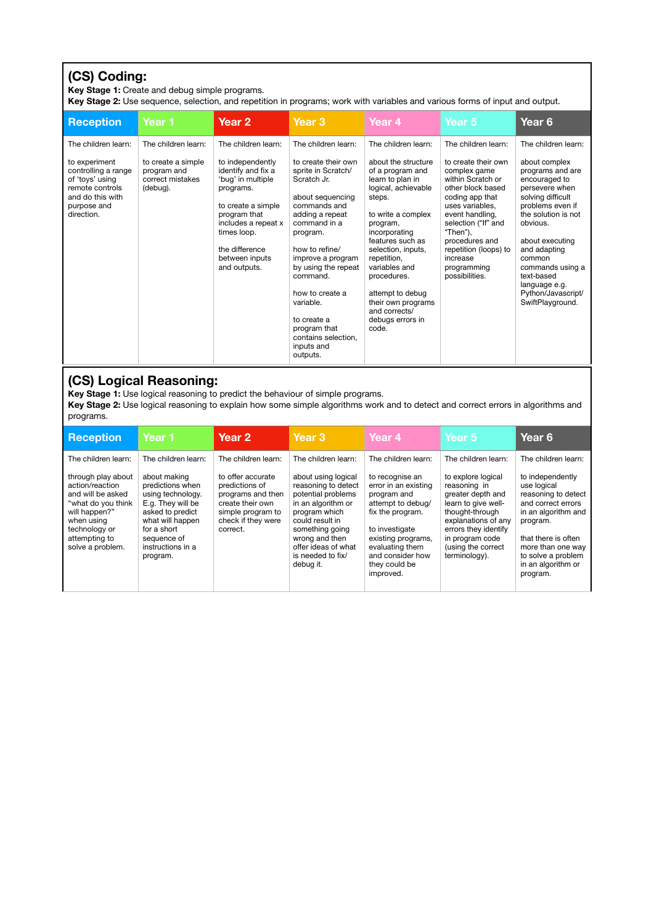# **(CS) Coding:**

**Key Stage 1:** Create and debug simple programs.

**Key Stage 2:** Use sequence, selection, and repetition in programs; work with variables and various forms of input and output.

| <b>Reception</b>                                                                                                            | Year 1                                                            | Year 2                                                                                                                                                                                                   | Year <sub>3</sub>                                                                                                                                                                                                                                                                                                                     | Year 4                                                                                                                                                                                                                                                                                                                           | Year 5                                                                                                                                                                                                                                                            | Year <sub>6</sub>                                                                                                                                                                                                                                                                          |
|-----------------------------------------------------------------------------------------------------------------------------|-------------------------------------------------------------------|----------------------------------------------------------------------------------------------------------------------------------------------------------------------------------------------------------|---------------------------------------------------------------------------------------------------------------------------------------------------------------------------------------------------------------------------------------------------------------------------------------------------------------------------------------|----------------------------------------------------------------------------------------------------------------------------------------------------------------------------------------------------------------------------------------------------------------------------------------------------------------------------------|-------------------------------------------------------------------------------------------------------------------------------------------------------------------------------------------------------------------------------------------------------------------|--------------------------------------------------------------------------------------------------------------------------------------------------------------------------------------------------------------------------------------------------------------------------------------------|
| The children learn:                                                                                                         | The children learn:                                               | The children learn:                                                                                                                                                                                      | The children learn:                                                                                                                                                                                                                                                                                                                   | The children learn:                                                                                                                                                                                                                                                                                                              | The children learn:                                                                                                                                                                                                                                               | The children learn:                                                                                                                                                                                                                                                                        |
| to experiment<br>controlling a range<br>of 'toys' using<br>remote controls<br>and do this with<br>purpose and<br>direction. | to create a simple<br>program and<br>correct mistakes<br>(debug). | to independently<br>identify and fix a<br>'bug' in multiple<br>programs.<br>to create a simple<br>program that<br>includes a repeat x<br>times loop.<br>the difference<br>between inputs<br>and outputs. | to create their own<br>sprite in Scratch/<br>Scratch Jr.<br>about sequencing<br>commands and<br>adding a repeat<br>command in a<br>program.<br>how to refine/<br>improve a program<br>by using the repeat<br>command.<br>how to create a<br>variable.<br>to create a<br>program that<br>contains selection.<br>inputs and<br>outputs. | about the structure<br>of a program and<br>learn to plan in<br>logical, achievable<br>steps.<br>to write a complex<br>program,<br>incorporating<br>features such as<br>selection, inputs,<br>repetition,<br>variables and<br>procedures.<br>attempt to debug<br>their own programs<br>and corrects/<br>debugs errors in<br>code. | to create their own<br>complex game<br>within Scratch or<br>other block based<br>coding app that<br>uses variables.<br>event handling,<br>selection ("If" and<br>"Then"),<br>procedures and<br>repetition (loops) to<br>increase<br>programming<br>possibilities. | about complex<br>programs and are<br>encouraged to<br>persevere when<br>solving difficult<br>problems even if<br>the solution is not<br>obvious.<br>about executing<br>and adapting<br>common<br>commands using a<br>text-based<br>language e.g.<br>Python/Javascript/<br>SwiftPlayground. |

### **(CS) Logical Reasoning:**

**Key Stage 1:** Use logical reasoning to predict the behaviour of simple programs.

**Key Stage 2:** Use logical reasoning to explain how some simple algorithms work and to detect and correct errors in algorithms and programs.

| Reception                                                                                                                                                                                    | Year 1                                                                                                                                                                                                   | Year <sub>2</sub>                                                                                                                                          | Year <sub>3</sub>                                                                                                                                                                                                                               | Year 4                                                                                                                                                                                                                              | Year 5                                                                                                                                                                                                                            | Year 6                                                                                                                                                                                                                                     |
|----------------------------------------------------------------------------------------------------------------------------------------------------------------------------------------------|----------------------------------------------------------------------------------------------------------------------------------------------------------------------------------------------------------|------------------------------------------------------------------------------------------------------------------------------------------------------------|-------------------------------------------------------------------------------------------------------------------------------------------------------------------------------------------------------------------------------------------------|-------------------------------------------------------------------------------------------------------------------------------------------------------------------------------------------------------------------------------------|-----------------------------------------------------------------------------------------------------------------------------------------------------------------------------------------------------------------------------------|--------------------------------------------------------------------------------------------------------------------------------------------------------------------------------------------------------------------------------------------|
| The children learn:<br>through play about<br>action/reaction<br>and will be asked<br>"what do you think<br>will happen?"<br>when using<br>technology or<br>attempting to<br>solve a problem. | The children learn:<br>about making<br>predictions when<br>using technology.<br>E.a. They will be<br>asked to predict<br>what will happen<br>for a short<br>sequence of<br>instructions in a<br>program. | The children learn:<br>to offer accurate<br>predictions of<br>programs and then<br>create their own<br>simple program to<br>check if they were<br>correct. | The children learn:<br>about using logical<br>reasoning to detect<br>potential problems<br>in an algorithm or<br>program which<br>could result in<br>something going<br>wrong and then<br>offer ideas of what<br>is needed to fix/<br>debug it. | The children learn:<br>to recognise an<br>error in an existing<br>program and<br>attempt to debug/<br>fix the program.<br>to investigate<br>existing programs,<br>evaluating them<br>and consider how<br>they could be<br>improved. | The children learn:<br>to explore logical<br>reasoning in<br>greater depth and<br>learn to give well-<br>thought-through<br>explanations of any<br>errors they identify<br>in program code<br>(using the correct<br>terminology). | The children learn:<br>to independently<br>use logical<br>reasoning to detect<br>and correct errors<br>in an algorithm and<br>program.<br>that there is often<br>more than one way<br>to solve a problem<br>in an algorithm or<br>program. |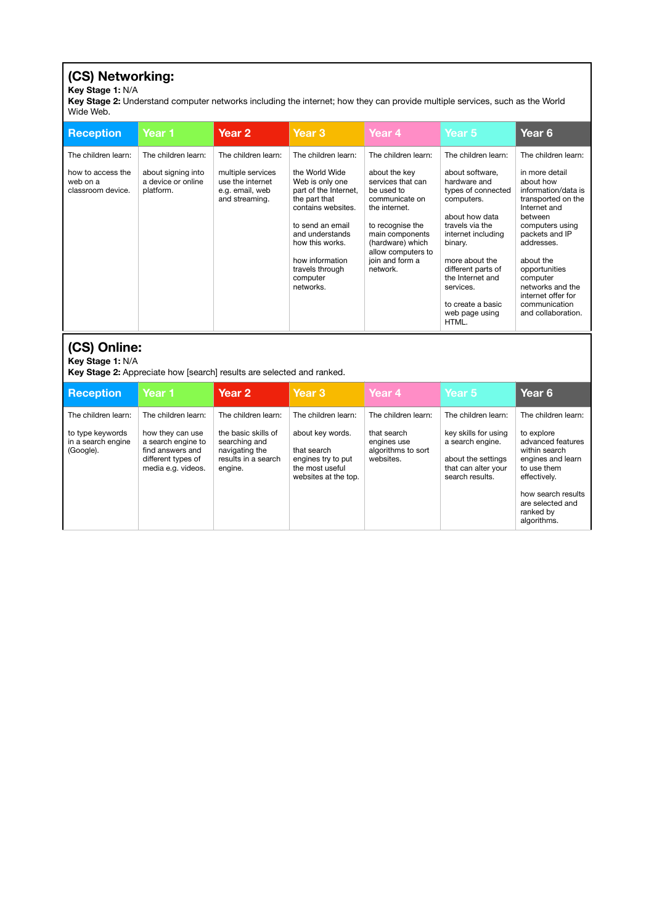# **(CS) Networking:**

#### **Key Stage 1:** N/A

**Key Stage 2:** Understand computer networks including the internet; how they can provide multiple services, such as the World Wide Web.

| <b>Reception</b>                                   | Year 1                                                | Year <sub>2</sub>                                                          | Year <sub>3</sub>                                                                                                                                           | Year 4                                                                                                                                         | Year 5                                                                                                                                    | Year 6                                                                                                                                                 |
|----------------------------------------------------|-------------------------------------------------------|----------------------------------------------------------------------------|-------------------------------------------------------------------------------------------------------------------------------------------------------------|------------------------------------------------------------------------------------------------------------------------------------------------|-------------------------------------------------------------------------------------------------------------------------------------------|--------------------------------------------------------------------------------------------------------------------------------------------------------|
| The children learn:                                | The children learn:                                   | The children learn:                                                        | The children learn:                                                                                                                                         | The children learn:                                                                                                                            | The children learn:                                                                                                                       | The children learn:                                                                                                                                    |
| how to access the<br>web on a<br>classroom device. | about signing into<br>a device or online<br>platform. | multiple services<br>use the internet<br>e.g. email, web<br>and streaming. | the World Wide<br>Web is only one<br>part of the Internet,<br>the part that<br>contains websites.<br>to send an email<br>and understands<br>how this works. | about the key<br>services that can<br>be used to<br>communicate on<br>the internet.<br>to recognise the<br>main components<br>(hardware) which | about software,<br>hardware and<br>types of connected<br>computers.<br>about how data<br>travels via the<br>internet including<br>binary. | in more detail<br>about how<br>information/data is<br>transported on the<br>Internet and<br>between<br>computers using<br>packets and IP<br>addresses. |
|                                                    |                                                       |                                                                            | how information<br>travels through<br>computer<br>networks.                                                                                                 | allow computers to<br>join and form a<br>network.                                                                                              | more about the<br>different parts of<br>the Internet and<br>services.<br>to create a basic<br>web page using<br>HTML.                     | about the<br>opportunities<br>computer<br>networks and the<br>internet offer for<br>communication<br>and collaboration.                                |

# **(CS) Online:**

#### **Key Stage 1:** N/A

**Key Stage 2:** Appreciate how [search] results are selected and ranked.

| <b>Reception</b>                                    | Year 1                                                                                                 | Year <sub>2</sub>                                                                        | Year <sub>3</sub>                                                                                | Year 4                                                        | Year <sub>5</sub>                                                                                        | Year 6                                                                                               |
|-----------------------------------------------------|--------------------------------------------------------------------------------------------------------|------------------------------------------------------------------------------------------|--------------------------------------------------------------------------------------------------|---------------------------------------------------------------|----------------------------------------------------------------------------------------------------------|------------------------------------------------------------------------------------------------------|
| The children learn:                                 | The children learn:                                                                                    | The children learn:                                                                      | The children learn:                                                                              | The children learn:                                           | The children learn:                                                                                      | The children learn:                                                                                  |
| to type keywords<br>in a search engine<br>(Google). | how they can use<br>a search engine to<br>find answers and<br>different types of<br>media e.g. videos. | the basic skills of<br>searching and<br>navigating the<br>results in a search<br>engine. | about key words.<br>that search<br>engines try to put<br>the most useful<br>websites at the top. | that search<br>engines use<br>algorithms to sort<br>websites. | key skills for using<br>a search engine.<br>about the settings<br>that can alter your<br>search results. | to explore<br>advanced features<br>within search<br>engines and learn<br>to use them<br>effectively. |
|                                                     |                                                                                                        |                                                                                          |                                                                                                  |                                                               |                                                                                                          | how search results<br>are selected and<br>ranked by<br>algorithms.                                   |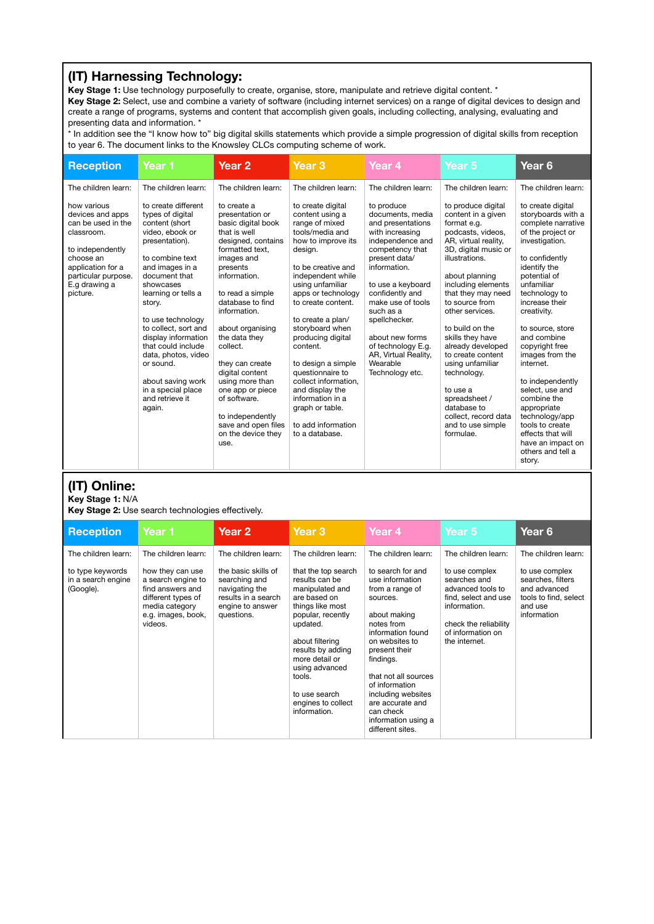## **(IT) Harnessing Technology:**

**Key Stage 1:** Use technology purposefully to create, organise, store, manipulate and retrieve digital content. \*

**Key Stage 2:** Select, use and combine a variety of software (including internet services) on a range of digital devices to design and create a range of programs, systems and content that accomplish given goals, including collecting, analysing, evaluating and presenting data and information. \*

\* In addition see the "I know how to" big digital skills statements which provide a simple progression of digital skills from reception to year 6. The document links to the Knowsley CLCs computing scheme of work.

| <b>Reception</b>                                                                                                                                                                                     | Year 1                                                                                                                                                                                                                                                                                                                                                                                                                           | Year <sub>2</sub>                                                                                                                                                                                                                                                                                                                                                                                                                                             | Year <sub>3</sub>                                                                                                                                                                                                                                                                                                                                                                                                                                                                         | Year <sub>4</sub>                                                                                                                                                                                                                                                                                                                                                | Year <sub>5</sub>                                                                                                                                                                                                                                                                                                                                                                                                                                                                                  | Year <sub>6</sub>                                                                                                                                                                                                                                                                                                                                                                                                                                                                                                     |
|------------------------------------------------------------------------------------------------------------------------------------------------------------------------------------------------------|----------------------------------------------------------------------------------------------------------------------------------------------------------------------------------------------------------------------------------------------------------------------------------------------------------------------------------------------------------------------------------------------------------------------------------|---------------------------------------------------------------------------------------------------------------------------------------------------------------------------------------------------------------------------------------------------------------------------------------------------------------------------------------------------------------------------------------------------------------------------------------------------------------|-------------------------------------------------------------------------------------------------------------------------------------------------------------------------------------------------------------------------------------------------------------------------------------------------------------------------------------------------------------------------------------------------------------------------------------------------------------------------------------------|------------------------------------------------------------------------------------------------------------------------------------------------------------------------------------------------------------------------------------------------------------------------------------------------------------------------------------------------------------------|----------------------------------------------------------------------------------------------------------------------------------------------------------------------------------------------------------------------------------------------------------------------------------------------------------------------------------------------------------------------------------------------------------------------------------------------------------------------------------------------------|-----------------------------------------------------------------------------------------------------------------------------------------------------------------------------------------------------------------------------------------------------------------------------------------------------------------------------------------------------------------------------------------------------------------------------------------------------------------------------------------------------------------------|
| The children learn:<br>how various<br>devices and apps<br>can be used in the<br>classroom.<br>to independently<br>choose an<br>application for a<br>particular purpose.<br>E.g drawing a<br>picture. | The children learn:<br>to create different<br>types of digital<br>content (short<br>video, ebook or<br>presentation).<br>to combine text<br>and images in a<br>document that<br>showcases<br>learning or tells a<br>story.<br>to use technology<br>to collect, sort and<br>display information<br>that could include<br>data, photos, video<br>or sound.<br>about saving work<br>in a special place<br>and retrieve it<br>again. | The children learn:<br>to create a<br>presentation or<br>basic digital book<br>that is well<br>designed, contains<br>formatted text.<br>images and<br>presents<br>information.<br>to read a simple<br>database to find<br>information.<br>about organising<br>the data they<br>collect.<br>they can create<br>digital content<br>using more than<br>one app or piece<br>of software.<br>to independently<br>save and open files<br>on the device they<br>use. | The children learn:<br>to create digital<br>content using a<br>range of mixed<br>tools/media and<br>how to improve its<br>design.<br>to be creative and<br>independent while<br>using unfamiliar<br>apps or technology<br>to create content.<br>to create a plan/<br>storyboard when<br>producing digital<br>content.<br>to design a simple<br>questionnaire to<br>collect information.<br>and display the<br>information in a<br>graph or table.<br>to add information<br>to a database. | The children learn:<br>to produce<br>documents, media<br>and presentations<br>with increasing<br>independence and<br>competency that<br>present data/<br>information.<br>to use a keyboard<br>confidently and<br>make use of tools<br>such as a<br>spellchecker.<br>about new forms<br>of technology E.g.<br>AR, Virtual Reality,<br>Wearable<br>Technology etc. | The children learn:<br>to produce digital<br>content in a given<br>format e.g.<br>podcasts, videos.<br>AR, virtual reality,<br>3D, digital music or<br>illustrations.<br>about planning<br>including elements<br>that they may need<br>to source from<br>other services.<br>to build on the<br>skills they have<br>already developed<br>to create content<br>using unfamiliar<br>technology.<br>to use a<br>spreadsheet /<br>database to<br>collect, record data<br>and to use simple<br>formulae. | The children learn:<br>to create digital<br>storyboards with a<br>complete narrative<br>of the project or<br>investigation.<br>to confidently<br>identify the<br>potential of<br>unfamiliar<br>technology to<br>increase their<br>creativity.<br>to source, store<br>and combine<br>copyright free<br>images from the<br>internet.<br>to independently<br>select, use and<br>combine the<br>appropriate<br>technology/app<br>tools to create<br>effects that will<br>have an impact on<br>others and tell a<br>story. |

## **(IT) Online:**

**Key Stage 1:** N/A

**Key Stage 2:** Use search technologies effectively.

| <b>Reception</b>                                    | Year 1                                                                                                                              | Year 2                                                                                                          | Year <sub>3</sub>                                                                                                                                                                                                                                                          | Year 4                                                                                                                                                                                                                                                                                                             | Year 5                                                                                                                                                     | Year <sub>6</sub>                                                                                      |
|-----------------------------------------------------|-------------------------------------------------------------------------------------------------------------------------------------|-----------------------------------------------------------------------------------------------------------------|----------------------------------------------------------------------------------------------------------------------------------------------------------------------------------------------------------------------------------------------------------------------------|--------------------------------------------------------------------------------------------------------------------------------------------------------------------------------------------------------------------------------------------------------------------------------------------------------------------|------------------------------------------------------------------------------------------------------------------------------------------------------------|--------------------------------------------------------------------------------------------------------|
| The children learn:                                 | The children learn:                                                                                                                 | The children learn:                                                                                             | The children learn:                                                                                                                                                                                                                                                        | The children learn:                                                                                                                                                                                                                                                                                                | The children learn:                                                                                                                                        | The children learn:                                                                                    |
| to type keywords<br>in a search engine<br>(Google). | how they can use<br>a search engine to<br>find answers and<br>different types of<br>media category<br>e.g. images, book,<br>videos. | the basic skills of<br>searching and<br>navigating the<br>results in a search<br>engine to answer<br>questions. | that the top search<br>results can be<br>manipulated and<br>are based on<br>things like most<br>popular, recently<br>updated.<br>about filtering<br>results by adding<br>more detail or<br>using advanced<br>tools.<br>to use search<br>engines to collect<br>information. | to search for and<br>use information<br>from a range of<br>sources.<br>about making<br>notes from<br>information found<br>on websites to<br>present their<br>findings.<br>that not all sources<br>of information<br>including websites<br>are accurate and<br>can check<br>information using a<br>different sites. | to use complex<br>searches and<br>advanced tools to<br>find, select and use<br>information.<br>check the reliability<br>of information on<br>the internet. | to use complex<br>searches, filters<br>and advanced<br>tools to find, select<br>and use<br>information |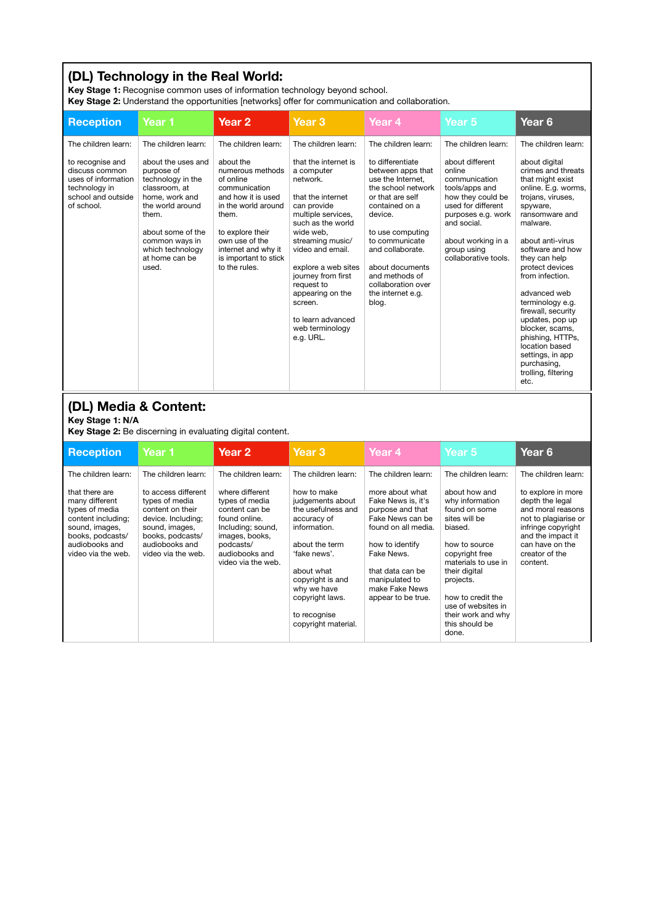# **(DL) Technology in the Real World:**

**Key Stage 1:** Recognise common uses of information technology beyond school.

**Key Stage 2:** Understand the opportunities [networks] offer for communication and collaboration.

| <b>Reception</b>                                                                                                                                       | Year 1                                                                                                                                                                                                      | Year <sub>2</sub>                                                                                                                                                                                                        | Year <sub>3</sub>                                                                                                                                                                                                                                                                                                                 | Year 4                                                                                                                                                                                                                                                                               | Year 5                                                                                                                                                                                                    | Year <sub>6</sub>                                                                                                                                                                                                                                                                                                                                                                                                                                    |
|--------------------------------------------------------------------------------------------------------------------------------------------------------|-------------------------------------------------------------------------------------------------------------------------------------------------------------------------------------------------------------|--------------------------------------------------------------------------------------------------------------------------------------------------------------------------------------------------------------------------|-----------------------------------------------------------------------------------------------------------------------------------------------------------------------------------------------------------------------------------------------------------------------------------------------------------------------------------|--------------------------------------------------------------------------------------------------------------------------------------------------------------------------------------------------------------------------------------------------------------------------------------|-----------------------------------------------------------------------------------------------------------------------------------------------------------------------------------------------------------|------------------------------------------------------------------------------------------------------------------------------------------------------------------------------------------------------------------------------------------------------------------------------------------------------------------------------------------------------------------------------------------------------------------------------------------------------|
| The children learn:                                                                                                                                    | The children learn:                                                                                                                                                                                         | The children learn:                                                                                                                                                                                                      | The children learn:                                                                                                                                                                                                                                                                                                               | The children learn:                                                                                                                                                                                                                                                                  | The children learn:                                                                                                                                                                                       | The children learn:                                                                                                                                                                                                                                                                                                                                                                                                                                  |
| to recognise and<br>discuss common<br>uses of information<br>technology in<br>school and outside<br>of school.                                         | about the uses and<br>purpose of<br>technology in the<br>classroom, at<br>home, work and<br>the world around<br>them.<br>about some of the<br>common ways in<br>which technology<br>at home can be<br>used. | about the<br>numerous methods<br>of online<br>communication<br>and how it is used<br>in the world around<br>them.<br>to explore their<br>own use of the<br>internet and why it<br>is important to stick<br>to the rules. | that the internet is<br>a computer<br>network.<br>that the internet<br>can provide<br>multiple services,<br>such as the world<br>wide web.<br>streaming music/<br>video and email.<br>explore a web sites<br>journey from first<br>request to<br>appearing on the<br>screen.<br>to learn advanced<br>web terminology<br>e.g. URL. | to differentiate<br>between apps that<br>use the Internet.<br>the school network<br>or that are self<br>contained on a<br>device.<br>to use computing<br>to communicate<br>and collaborate.<br>about documents<br>and methods of<br>collaboration over<br>the internet e.g.<br>blog. | about different<br>online<br>communication<br>tools/apps and<br>how they could be<br>used for different<br>purposes e.g. work<br>and social.<br>about working in a<br>group using<br>collaborative tools. | about digital<br>crimes and threats<br>that might exist<br>online. E.g. worms,<br>trojans, viruses,<br>spyware,<br>ransomware and<br>malware.<br>about anti-virus<br>software and how<br>they can help<br>protect devices<br>from infection.<br>advanced web<br>terminology e.g.<br>firewall, security<br>updates, pop up<br>blocker, scams,<br>phishing, HTTPs,<br>location based<br>settings, in app<br>purchasing,<br>trolling, filtering<br>etc. |
| (DL) Media & Content:<br>Key Stage 1: N/A                                                                                                              | Key Stage 2: Be discerning in evaluating digital content.                                                                                                                                                   |                                                                                                                                                                                                                          |                                                                                                                                                                                                                                                                                                                                   |                                                                                                                                                                                                                                                                                      |                                                                                                                                                                                                           |                                                                                                                                                                                                                                                                                                                                                                                                                                                      |
| <b>Reception</b>                                                                                                                                       | Year 1                                                                                                                                                                                                      | Year <sub>2</sub>                                                                                                                                                                                                        | Year <sub>3</sub>                                                                                                                                                                                                                                                                                                                 | Year <sub>4</sub>                                                                                                                                                                                                                                                                    | Year 5                                                                                                                                                                                                    | Year <sub>6</sub>                                                                                                                                                                                                                                                                                                                                                                                                                                    |
| The children learn:                                                                                                                                    | The children learn:                                                                                                                                                                                         | The children learn:                                                                                                                                                                                                      | The children learn:                                                                                                                                                                                                                                                                                                               | The children learn:                                                                                                                                                                                                                                                                  | The children learn:                                                                                                                                                                                       | The children learn:                                                                                                                                                                                                                                                                                                                                                                                                                                  |
| that there are<br>many different<br>types of media<br>content including;<br>sound, images,<br>books, podcasts/<br>audiobooks and<br>video via the web. | to access different<br>types of media<br>content on their<br>device. Including;<br>sound, images,<br>books, podcasts/<br>audiobooks and<br>video via the web.                                               | where different<br>types of media<br>content can be<br>found online.<br>Including; sound,<br>images, books,<br>podcasts/<br>audiobooks and<br>video via the web.                                                         | how to make<br>judgements about<br>the usefulness and<br>accuracy of<br>information.<br>about the term<br>'fake news'.<br>about what                                                                                                                                                                                              | more about what<br>Fake News is, it's<br>purpose and that<br>Fake News can be<br>found on all media.<br>how to identify<br>Fake News.<br>that data can be                                                                                                                            | about how and<br>why information<br>found on some<br>sites will be<br>biased.<br>how to source<br>copyright free<br>materials to use in<br>their digital                                                  | to explore in more<br>depth the legal<br>and moral reasons<br>not to plagiarise or<br>infringe copyright<br>and the impact it<br>can have on the<br>creator of the<br>content.                                                                                                                                                                                                                                                                       |

copyright is and why we have copyright laws. to recognise copyright material.

manipulated to make Fake News appear to be true. projects. how to credit the use of websites in their work and why this should be done.